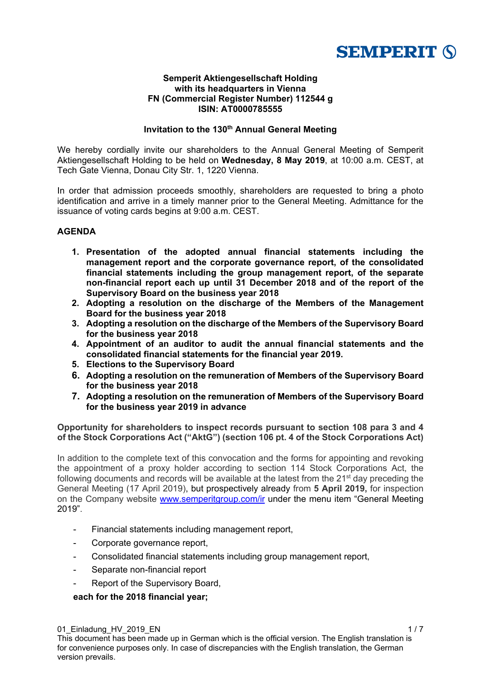

#### **Semperit Aktiengesellschaft Holding with its headquarters in Vienna FN (Commercial Register Number) 112544 g ISIN: AT0000785555**

## **Invitation to the 130<sup>th</sup> Annual General Meeting**

We hereby cordially invite our shareholders to the Annual General Meeting of Semperit Aktiengesellschaft Holding to be held on **Wednesday, 8 May 2019**, at 10:00 a.m. CEST, at Tech Gate Vienna, Donau City Str. 1, 1220 Vienna.

In order that admission proceeds smoothly, shareholders are requested to bring a photo identification and arrive in a timely manner prior to the General Meeting. Admittance for the issuance of voting cards begins at 9:00 a.m. CEST.

## **AGENDA**

- **1. Presentation of the adopted annual financial statements including the management report and the corporate governance report, of the consolidated financial statements including the group management report, of the separate non-financial report each up until 31 December 2018 and of the report of the Supervisory Board on the business year 2018**
- **2. Adopting a resolution on the discharge of the Members of the Management Board for the business year 2018**
- **3. Adopting a resolution on the discharge of the Members of the Supervisory Board for the business year 2018**
- **4. Appointment of an auditor to audit the annual financial statements and the consolidated financial statements for the financial year 2019.**
- **5. Elections to the Supervisory Board**
- **6. Adopting a resolution on the remuneration of Members of the Supervisory Board for the business year 2018**
- **7. Adopting a resolution on the remuneration of Members of the Supervisory Board for the business year 2019 in advance**

**Opportunity for shareholders to inspect records pursuant to section 108 para 3 and 4 of the Stock Corporations Act ("AktG") (section 106 pt. 4 of the Stock Corporations Act)** 

In addition to the complete text of this convocation and the forms for appointing and revoking the appointment of a proxy holder according to section 114 Stock Corporations Act, the following documents and records will be available at the latest from the  $21<sup>st</sup>$  day preceding the General Meeting (17 April 2019), but prospectively already from **5 April 2019,** for inspection on the Company website www.semperitgroup.com/ir under the menu item "General Meeting 2019".

- Financial statements including management report,
- Corporate governance report,
- Consolidated financial statements including group management report,
- Separate non-financial report
- Report of the Supervisory Board,

# **each for the 2018 financial year;**

01\_Einladung\_HV\_2019\_EN 1 / 7 1 / 7 1 / 7 1 / 7 1 / 7 1 / 7 1 / 7 1 / 7 1 / 7 1 / 7 1 / 7 1 / 7 1 / 7 1 / 7 1 / 7 1 / 7 1 / 7 1 / 7 1 / 7 1 / 7 1 / 7 1 / 7 1 / 7 1 / 7 1 / 7 1 / 7 1 / 7 1 / 7 1 / 7 1 / 7 1 / 7 1 / 7 1 / 7 This document has been made up in German which is the official version. The English translation is for convenience purposes only. In case of discrepancies with the English translation, the German version prevails.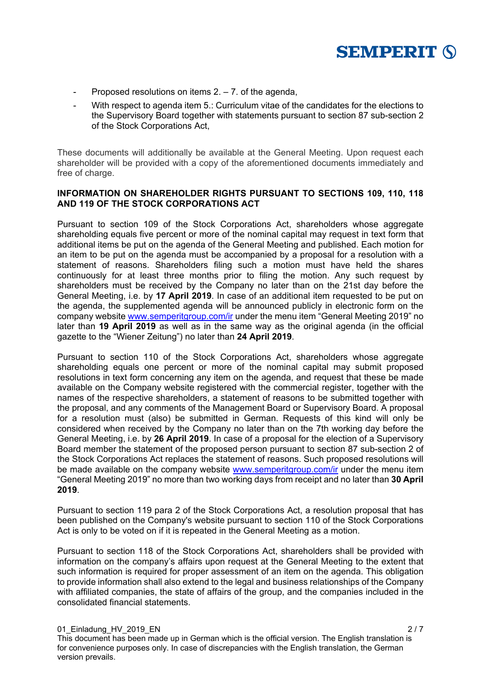

- Proposed resolutions on items  $2. 7.$  of the agenda,
- With respect to agenda item 5.: Curriculum vitae of the candidates for the elections to the Supervisory Board together with statements pursuant to section 87 sub-section 2 of the Stock Corporations Act,

These documents will additionally be available at the General Meeting. Upon request each shareholder will be provided with a copy of the aforementioned documents immediately and free of charge.

## **INFORMATION ON SHAREHOLDER RIGHTS PURSUANT TO SECTIONS 109, 110, 118 AND 119 OF THE STOCK CORPORATIONS ACT**

Pursuant to section 109 of the Stock Corporations Act, shareholders whose aggregate shareholding equals five percent or more of the nominal capital may request in text form that additional items be put on the agenda of the General Meeting and published. Each motion for an item to be put on the agenda must be accompanied by a proposal for a resolution with a statement of reasons. Shareholders filing such a motion must have held the shares continuously for at least three months prior to filing the motion. Any such request by shareholders must be received by the Company no later than on the 21st day before the General Meeting, i.e. by **17 April 2019**. In case of an additional item requested to be put on the agenda, the supplemented agenda will be announced publicly in electronic form on the company website www.semperitgroup.com/ir under the menu item "General Meeting 2019" no later than **19 April 2019** as well as in the same way as the original agenda (in the official gazette to the "Wiener Zeitung") no later than **24 April 2019**.

Pursuant to section 110 of the Stock Corporations Act, shareholders whose aggregate shareholding equals one percent or more of the nominal capital may submit proposed resolutions in text form concerning any item on the agenda, and request that these be made available on the Company website registered with the commercial register, together with the names of the respective shareholders, a statement of reasons to be submitted together with the proposal, and any comments of the Management Board or Supervisory Board. A proposal for a resolution must (also) be submitted in German. Requests of this kind will only be considered when received by the Company no later than on the 7th working day before the General Meeting, i.e. by **26 April 2019**. In case of a proposal for the election of a Supervisory Board member the statement of the proposed person pursuant to section 87 sub-section 2 of the Stock Corporations Act replaces the statement of reasons. Such proposed resolutions will be made available on the company website www.semperitgroup.com/ir under the menu item "General Meeting 2019" no more than two working days from receipt and no later than **30 April 2019**.

Pursuant to section 119 para 2 of the Stock Corporations Act, a resolution proposal that has been published on the Company's website pursuant to section 110 of the Stock Corporations Act is only to be voted on if it is repeated in the General Meeting as a motion.

Pursuant to section 118 of the Stock Corporations Act, shareholders shall be provided with information on the company's affairs upon request at the General Meeting to the extent that such information is required for proper assessment of an item on the agenda. This obligation to provide information shall also extend to the legal and business relationships of the Company with affiliated companies, the state of affairs of the group, and the companies included in the consolidated financial statements.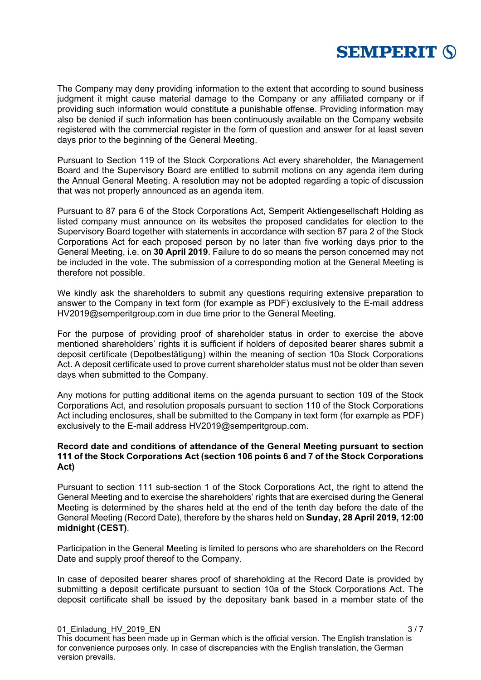

The Company may deny providing information to the extent that according to sound business judgment it might cause material damage to the Company or any affiliated company or if providing such information would constitute a punishable offense. Providing information may also be denied if such information has been continuously available on the Company website registered with the commercial register in the form of question and answer for at least seven days prior to the beginning of the General Meeting.

Pursuant to Section 119 of the Stock Corporations Act every shareholder, the Management Board and the Supervisory Board are entitled to submit motions on any agenda item during the Annual General Meeting. A resolution may not be adopted regarding a topic of discussion that was not properly announced as an agenda item.

Pursuant to 87 para 6 of the Stock Corporations Act, Semperit Aktiengesellschaft Holding as listed company must announce on its websites the proposed candidates for election to the Supervisory Board together with statements in accordance with section 87 para 2 of the Stock Corporations Act for each proposed person by no later than five working days prior to the General Meeting, i.e. on **30 April 2019**. Failure to do so means the person concerned may not be included in the vote. The submission of a corresponding motion at the General Meeting is therefore not possible.

We kindly ask the shareholders to submit any questions requiring extensive preparation to answer to the Company in text form (for example as PDF) exclusively to the E-mail address HV2019@semperitgroup.com in due time prior to the General Meeting.

For the purpose of providing proof of shareholder status in order to exercise the above mentioned shareholders' rights it is sufficient if holders of deposited bearer shares submit a deposit certificate (Depotbestätigung) within the meaning of section 10a Stock Corporations Act. A deposit certificate used to prove current shareholder status must not be older than seven days when submitted to the Company.

Any motions for putting additional items on the agenda pursuant to section 109 of the Stock Corporations Act, and resolution proposals pursuant to section 110 of the Stock Corporations Act including enclosures, shall be submitted to the Company in text form (for example as PDF) exclusively to the E-mail address HV2019@semperitgroup.com.

## **Record date and conditions of attendance of the General Meeting pursuant to section 111 of the Stock Corporations Act (section 106 points 6 and 7 of the Stock Corporations Act)**

Pursuant to section 111 sub-section 1 of the Stock Corporations Act, the right to attend the General Meeting and to exercise the shareholders' rights that are exercised during the General Meeting is determined by the shares held at the end of the tenth day before the date of the General Meeting (Record Date), therefore by the shares held on **Sunday, 28 April 2019, 12:00 midnight (CEST)**.

Participation in the General Meeting is limited to persons who are shareholders on the Record Date and supply proof thereof to the Company.

In case of deposited bearer shares proof of shareholding at the Record Date is provided by submitting a deposit certificate pursuant to section 10a of the Stock Corporations Act. The deposit certificate shall be issued by the depositary bank based in a member state of the

01\_Einladung\_HV\_2019\_EN 3 / 7 3 / 7 3 / 7 3 / 7 3 / 7 3 / 7 3 / 7 3 / 7 3 / 7 3 / 7 3 / 7 3 / 7 3 / 7 3 / 7 3 / 7 3 / 7 3 / 7 3 / 7 3 / 7 3 / 7 3 / 7 3 / 7 3 / 7 3 / 7 3 / 7 3 / 7 3 / 7 3 / 7 3 / 7 3 / 7 3 / 7 3 / 7 3 / 7 This document has been made up in German which is the official version. The English translation is for convenience purposes only. In case of discrepancies with the English translation, the German version prevails.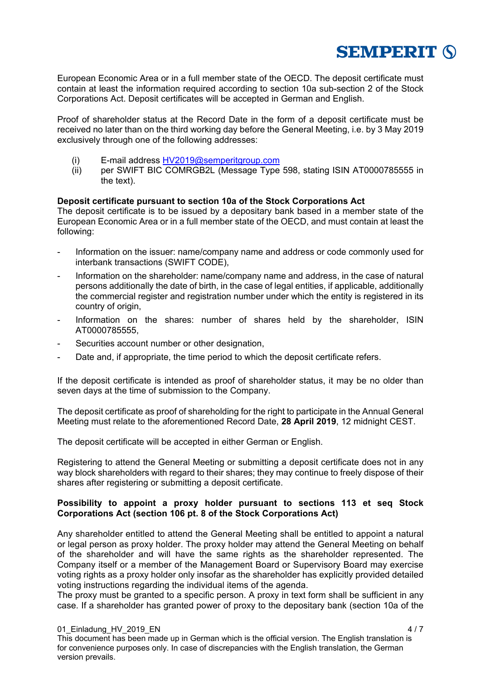

European Economic Area or in a full member state of the OECD. The deposit certificate must contain at least the information required according to section 10a sub-section 2 of the Stock Corporations Act. Deposit certificates will be accepted in German and English.

Proof of shareholder status at the Record Date in the form of a deposit certificate must be received no later than on the third working day before the General Meeting, i.e. by 3 May 2019 exclusively through one of the following addresses:

- (i) E-mail address HV2019@semperitgroup.com
- (ii) per SWIFT BIC COMRGB2L (Message Type 598, stating ISIN AT0000785555 in the text).

#### **Deposit certificate pursuant to section 10a of the Stock Corporations Act**

The deposit certificate is to be issued by a depositary bank based in a member state of the European Economic Area or in a full member state of the OECD, and must contain at least the following:

- Information on the issuer: name/company name and address or code commonly used for interbank transactions (SWIFT CODE),
- Information on the shareholder: name/company name and address, in the case of natural persons additionally the date of birth, in the case of legal entities, if applicable, additionally the commercial register and registration number under which the entity is registered in its country of origin,
- Information on the shares: number of shares held by the shareholder, ISIN AT0000785555,
- Securities account number or other designation,
- Date and, if appropriate, the time period to which the deposit certificate refers.

If the deposit certificate is intended as proof of shareholder status, it may be no older than seven days at the time of submission to the Company.

The deposit certificate as proof of shareholding for the right to participate in the Annual General Meeting must relate to the aforementioned Record Date, **28 April 2019**, 12 midnight CEST.

The deposit certificate will be accepted in either German or English.

Registering to attend the General Meeting or submitting a deposit certificate does not in any way block shareholders with regard to their shares; they may continue to freely dispose of their shares after registering or submitting a deposit certificate.

#### **Possibility to appoint a proxy holder pursuant to sections 113 et seq Stock Corporations Act (section 106 pt. 8 of the Stock Corporations Act)**

Any shareholder entitled to attend the General Meeting shall be entitled to appoint a natural or legal person as proxy holder. The proxy holder may attend the General Meeting on behalf of the shareholder and will have the same rights as the shareholder represented. The Company itself or a member of the Management Board or Supervisory Board may exercise voting rights as a proxy holder only insofar as the shareholder has explicitly provided detailed voting instructions regarding the individual items of the agenda.

The proxy must be granted to a specific person. A proxy in text form shall be sufficient in any case. If a shareholder has granted power of proxy to the depositary bank (section 10a of the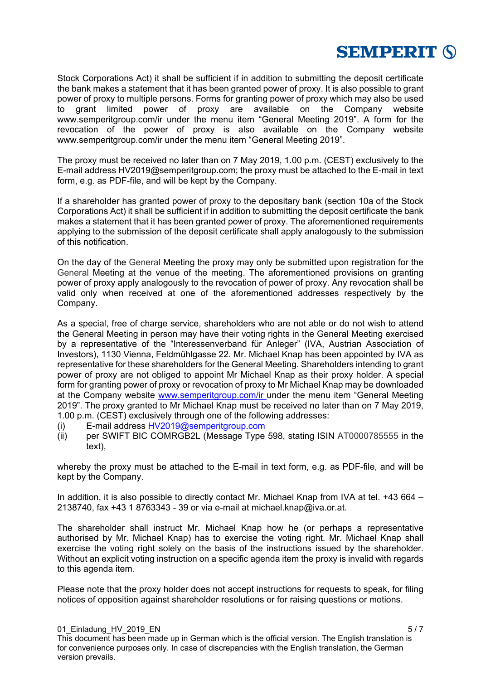

Stock Corporations Act) it shall be sufficient if in addition to submitting the deposit certificate the bank makes a statement that it has been granted power of proxy. It is also possible to grant power of proxy to multiple persons. Forms for granting power of proxy which may also be used to grant limited power of proxy are available on the Company website www.semperitgroup.com/ir under the menu item "General Meeting 2019". A form for the revocation of the power of proxy is also available on the Company website www.semperitgroup.com/ir under the menu item "General Meeting 2019".

The proxy must be received no later than on 7 May 2019, 1.00 p.m. (CEST) exclusively to the E-mail address HV2019@semperitgroup.com; the proxy must be attached to the E-mail in text form, e.g. as PDF-file, and will be kept by the Company.

If a shareholder has granted power of proxy to the depositary bank (section 10a of the Stock Corporations Act) it shall be sufficient if in addition to submitting the deposit certificate the bank makes a statement that it has been granted power of proxy. The aforementioned requirements applying to the submission of the deposit certificate shall apply analogously to the submission of this notification.

On the day of the General Meeting the proxy may only be submitted upon registration for the General Meeting at the venue of the meeting. The aforementioned provisions on granting power of proxy apply analogously to the revocation of power of proxy. Any revocation shall be valid only when received at one of the aforementioned addresses respectively by the Company.

As a special, free of charge service, shareholders who are not able or do not wish to attend the General Meeting in person may have their voting rights in the General Meeting exercised by a representative of the "Interessenverband für Anleger" (IVA, Austrian Association of Investors), 1130 Vienna, Feldmühlgasse 22. Mr. Michael Knap has been appointed by IVA as representative for these shareholders for the General Meeting. Shareholders intending to grant power of proxy are not obliged to appoint Mr Michael Knap as their proxy holder. A special form for granting power of proxy or revocation of proxy to Mr Michael Knap may be downloaded at the Company website www.semperitgroup.com/ir under the menu item "General Meeting 2019". The proxy granted to Mr Michael Knap must be received no later than on 7 May 2019, 1.00 p.m. (CEST) exclusively through one of the following addresses:

- (i) E-mail address HV2019@semperitgroup.com
- (ii) per SWIFT BIC COMRGB2L (Message Type 598, stating ISIN AT0000785555 in the text),

whereby the proxy must be attached to the E-mail in text form, e.g. as PDF-file, and will be kept by the Company.

In addition, it is also possible to directly contact Mr. Michael Knap from IVA at tel. +43 664 – 2138740, fax +43 1 8763343 - 39 or via e-mail at michael.knap@iva.or.at.

The shareholder shall instruct Mr. Michael Knap how he (or perhaps a representative authorised by Mr. Michael Knap) has to exercise the voting right. Mr. Michael Knap shall exercise the voting right solely on the basis of the instructions issued by the shareholder. Without an explicit voting instruction on a specific agenda item the proxy is invalid with regards to this agenda item.

Please note that the proxy holder does not accept instructions for requests to speak, for filing notices of opposition against shareholder resolutions or for raising questions or motions.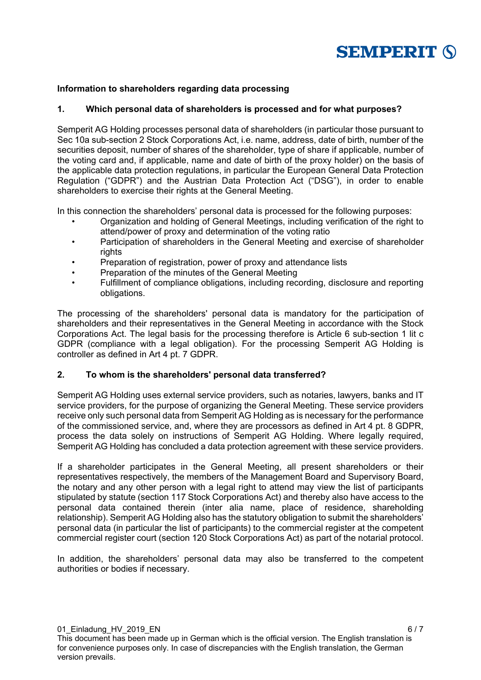

## **Information to shareholders regarding data processing**

## **1. Which personal data of shareholders is processed and for what purposes?**

Semperit AG Holding processes personal data of shareholders (in particular those pursuant to Sec 10a sub-section 2 Stock Corporations Act, i.e. name, address, date of birth, number of the securities deposit, number of shares of the shareholder, type of share if applicable, number of the voting card and, if applicable, name and date of birth of the proxy holder) on the basis of the applicable data protection regulations, in particular the European General Data Protection Regulation ("GDPR") and the Austrian Data Protection Act ("DSG"), in order to enable shareholders to exercise their rights at the General Meeting.

In this connection the shareholders' personal data is processed for the following purposes:

- Organization and holding of General Meetings, including verification of the right to attend/power of proxy and determination of the voting ratio
- Participation of shareholders in the General Meeting and exercise of shareholder rights
- Preparation of registration, power of proxy and attendance lists
- Preparation of the minutes of the General Meeting
- Fulfillment of compliance obligations, including recording, disclosure and reporting obligations.

The processing of the shareholders' personal data is mandatory for the participation of shareholders and their representatives in the General Meeting in accordance with the Stock Corporations Act. The legal basis for the processing therefore is Article 6 sub-section 1 lit c GDPR (compliance with a legal obligation). For the processing Semperit AG Holding is controller as defined in Art 4 pt. 7 GDPR.

#### **2. To whom is the shareholders' personal data transferred?**

Semperit AG Holding uses external service providers, such as notaries, lawyers, banks and IT service providers, for the purpose of organizing the General Meeting. These service providers receive only such personal data from Semperit AG Holding as is necessary for the performance of the commissioned service, and, where they are processors as defined in Art 4 pt. 8 GDPR, process the data solely on instructions of Semperit AG Holding. Where legally required, Semperit AG Holding has concluded a data protection agreement with these service providers.

If a shareholder participates in the General Meeting, all present shareholders or their representatives respectively, the members of the Management Board and Supervisory Board, the notary and any other person with a legal right to attend may view the list of participants stipulated by statute (section 117 Stock Corporations Act) and thereby also have access to the personal data contained therein (inter alia name, place of residence, shareholding relationship). Semperit AG Holding also has the statutory obligation to submit the shareholders' personal data (in particular the list of participants) to the commercial register at the competent commercial register court (section 120 Stock Corporations Act) as part of the notarial protocol.

In addition, the shareholders' personal data may also be transferred to the competent authorities or bodies if necessary.

01\_Einladung\_HV\_2019\_EN 6 / 7 This document has been made up in German which is the official version. The English translation is for convenience purposes only. In case of discrepancies with the English translation, the German version prevails.